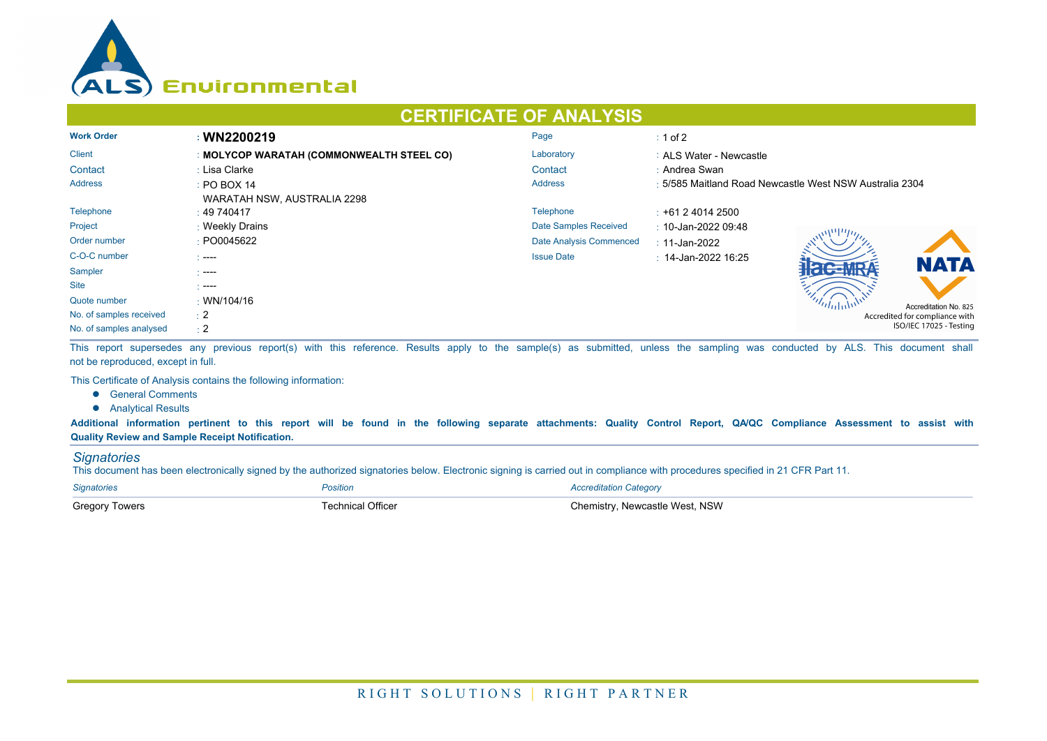

## **CERTIFICATE OF ANALYSIS**

| <b>Work Order</b>       | : WN2200219                               | Page                    | $\div$ 1 of 2                                           |  |  |
|-------------------------|-------------------------------------------|-------------------------|---------------------------------------------------------|--|--|
| <b>Client</b>           | : MOLYCOP WARATAH (COMMONWEALTH STEEL CO) | Laboratory              | : ALS Water - Newcastle                                 |  |  |
| Contact                 | : Lisa Clarke                             | Contact                 | : Andrea Swan                                           |  |  |
| <b>Address</b>          | $\div$ PO BOX 14                          | <b>Address</b>          | : 5/585 Maitland Road Newcastle West NSW Australia 2304 |  |  |
|                         | WARATAH NSW, AUSTRALIA 2298               |                         |                                                         |  |  |
| Telephone               | : 49740417                                | Telephone               | $\div$ +61 2 4014 2500                                  |  |  |
| Project                 | : Weekly Drains                           | Date Samples Received   | $\therefore$ 10-Jan-2022 09:48                          |  |  |
| Order number            | : PO0045622                               | Date Analysis Commenced | : 11-Jan-2022                                           |  |  |
| C-O-C number            | $1 - - -$                                 | <b>Issue Date</b>       | $\pm$ 14-Jan-2022 16:25                                 |  |  |
| Sampler                 | - ----                                    |                         | <b>NATA</b>                                             |  |  |
| <b>Site</b>             | $\sim$ ----                               |                         |                                                         |  |  |
| Quote number            | : WN/104/16                               |                         | Accreditation No. 825                                   |  |  |
| No. of samples received | $\pm 2$                                   |                         | Accredited for compliance with                          |  |  |
| No. of samples analysed | $\div 2$                                  |                         | ISO/IEC 17025 - Testing                                 |  |  |

This report supersedes any previous report(s) with this reference. Results apply to the sample(s) as submitted, unless the sampling was conducted by ALS. This document shall not be reproduced, except in full.

This Certificate of Analysis contains the following information:

- **•** General Comments
- **•** Analytical Results

**Additional information pertinent to this report will be found in the following separate attachments: Quality Control Report, QA/QC Compliance Assessment to assist with Quality Review and Sample Receipt Notification.**

## *Signatories*

This document has been electronically signed by the authorized signatories below. Electronic signing is carried out in compliance with procedures specified in 21 CFR Part 11.

| <b>Signatories</b>    | <i><b>'osition</b></i> | Accreditation Category          |
|-----------------------|------------------------|---------------------------------|
| <b>Gregory Towers</b> | echnical Officer       | วิhemistrv. Newcastle West. NSW |